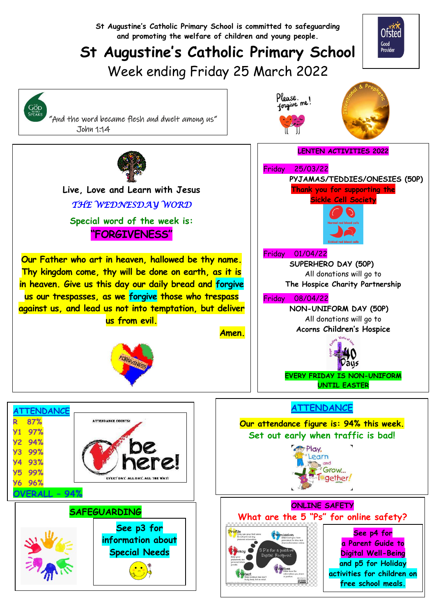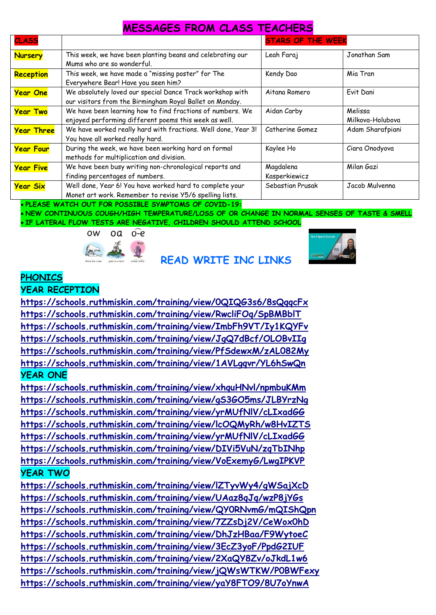#### **MESSAGES FROM CLASS TEACHERS**

| <b>CLASS</b>      |                                                               | <b>STARS OF THE WEEK</b> |                  |
|-------------------|---------------------------------------------------------------|--------------------------|------------------|
| <b>Nursery</b>    | This week, we have been planting beans and celebrating our    | Leah Faraj               | Jonathan Sam     |
|                   | Mums who are so wonderful.                                    |                          |                  |
| Reception         | This week, we have made a "missing poster" for The            | Kendy Dao                | Mia Tran         |
|                   | Everywhere Bear! Have you seen him?                           |                          |                  |
| <b>Year One</b>   | We absolutely loved our special Dance Track workshop with     | Aitana Romero            | Evit Dani        |
|                   | our visitors from the Birmingham Royal Ballet on Monday.      |                          |                  |
| <b>Year Two</b>   | We have been learning how to find fractions of numbers. We    | Aidan Carby              | Melissa          |
|                   | enjoyed performing different poems this week as well.         |                          | Milkova-Holubova |
| <b>Year Three</b> | We have worked really hard with fractions. Well done, Year 3! | Catherine Gomez          | Adam Sharafpiani |
|                   | You have all worked really hard.                              |                          |                  |
| <b>Year Four</b>  | During the week, we have been working hard on formal          | Kaylee Ho                | Ciara Onodyova   |
|                   | methods for multiplication and division.                      |                          |                  |
| <b>Year Five</b>  | We have been busy writing non-chronological reports and       | Magdalena                | Milan Gazi       |
|                   | finding percentages of numbers.                               | Kasperkiewicz            |                  |
| <b>Year Six</b>   | Well done, Year 6! You have worked hard to complete your      | Sebastian Prusak         | Jacob Mulvenna   |
|                   | Monet art work. Remember to revise Y5/6 spelling lists.       |                          |                  |

**PLEASE WATCH OUT FOR POSSIBLE SYMPTOMS OF COVID-19:**

 **NEW CONTINUOUS COUGH/HIGH TEMPERATURE/LOSS OF OR CHANGE IN NORMAL SENSES OF TASTE & SMELL IF LATERAL FLOW TESTS ARE NEGATIVE, CHILDREN SHOULD ATTEND SCHOOL**



#### **READ WRITE INC LINKS**



#### **PHONICS**

**YEAR RECEPTION**

**<https://schools.ruthmiskin.com/training/view/0QIQG3s6/8sQqqcFx> <https://schools.ruthmiskin.com/training/view/RwcliFOq/SpBMBblT> <https://schools.ruthmiskin.com/training/view/ImbFh9VT/Iy1KQYFv> <https://schools.ruthmiskin.com/training/view/JgQ7dBcf/OLOBvIIg> <https://schools.ruthmiskin.com/training/view/PfSdewxM/zAL082My> <https://schools.ruthmiskin.com/training/view/1AVLgqvr/YL6hSwQn> YEAR ONE**

**<https://schools.ruthmiskin.com/training/view/xhquHNvl/npmbuKMm> <https://schools.ruthmiskin.com/training/view/gS3GO5ms/JLBYrzNg> <https://schools.ruthmiskin.com/training/view/yrMUfNlV/cLIxadGG> <https://schools.ruthmiskin.com/training/view/lcOQMyRh/w8HvIZTS> <https://schools.ruthmiskin.com/training/view/yrMUfNlV/cLIxadGG> <https://schools.ruthmiskin.com/training/view/DIVi5VuN/zqTbINhp> <https://schools.ruthmiskin.com/training/view/VoExemyG/LwgIPKVP> YEAR TWO**

**<https://schools.ruthmiskin.com/training/view/lZTyvWy4/gWSajXcD> <https://schools.ruthmiskin.com/training/view/UAaz8qJq/wzP8jYGs> <https://schools.ruthmiskin.com/training/view/QY0RNvmG/mQIShQpn> <https://schools.ruthmiskin.com/training/view/7ZZsDj2V/CeWox0hD> <https://schools.ruthmiskin.com/training/view/DhJzHBaa/F9WytoeC> <https://schools.ruthmiskin.com/training/view/3EcZ3yoF/PpdG2IUF> <https://schools.ruthmiskin.com/training/view/2XaQY8Zv/oJkdL1w6> <https://schools.ruthmiskin.com/training/view/jQWsWTKW/P0BWFexy> <https://schools.ruthmiskin.com/training/view/yaY8FTO9/8U7oYnwA>**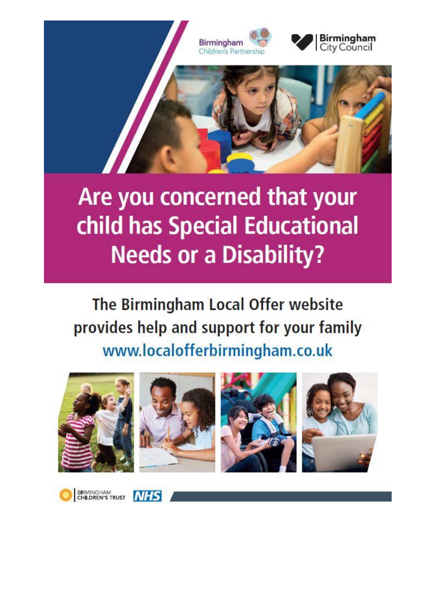

## Are you concerned that your child has Special Educational **Needs or a Disability?**

The Birmingham Local Offer website provides help and support for your family www.localofferbirmingham.co.uk





BIRMINGHAM<br>CHILDREN'S TRUST **NHS**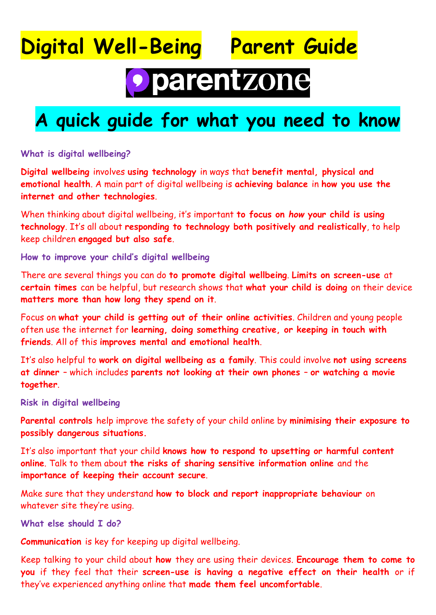### **Digital Well-Being Parent Guide**



# · parentzone

### **A quick guide for what you need to know**

**What is digital wellbeing?**

**Digital wellbeing** involves **using technology** in ways that **benefit mental, physical and emotional health**. A main part of digital wellbeing is **achieving balance** in **how you use the internet and other technologies**.

When thinking about digital wellbeing, it's important **to focus on** *how* **your child is using technology**. It's all about **responding to technology both positively and realistically**, to help keep children **engaged but also safe**.

**How to improve your child's digital wellbeing**

There are several things you can do **to promote digital wellbeing**. **Limits on screen-use** at **certain times** can be helpful, but research shows that **what your child is doing** on their device **matters more than how long they spend on it**.

Focus on **what your child is getting out of their online activities**. Children and young people often use the internet for **learning, doing something creative, or keeping in touch with friends**. All of this **improves mental and emotional health**.

It's also helpful to **work on digital wellbeing as a family**. This could involve **not using screens at dinner** – which includes **parents not looking at their own phones** – **or watching a movie together**.

**Risk in digital wellbeing**

**Parental controls** help improve the safety of your child online by **minimising their exposure to possibly dangerous situations.**

It's also important that your child **knows how to respond to upsetting or harmful content online**. Talk to them about **the risks of sharing sensitive information online** and the **importance of keeping their account secure**.

Make sure that they understand **how to block and report inappropriate behaviour** on whatever site they're using.

**What else should I do?**

**Communication** is key for keeping up digital wellbeing.

Keep talking to your child about **how** they are using their devices. **Encourage them to come to you** if they feel that their **screen-use is having a negative effect on their health** or if they've experienced anything online that **made them feel uncomfortable**.